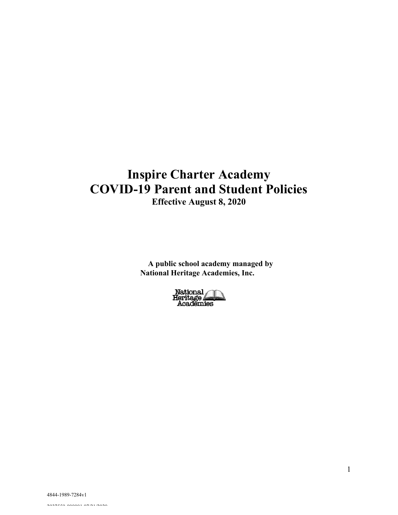# **Inspire Charter Academy COVID-19 Parent and Student Policies Effective August 8, 2020**

**A public school academy managed by National Heritage Academies, Inc.**

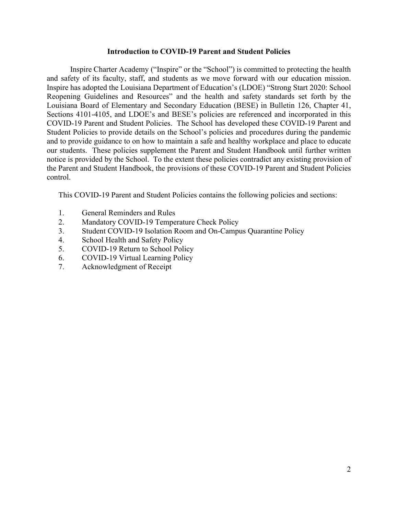#### **Introduction to COVID-19 Parent and Student Policies**

Inspire Charter Academy ("Inspire" or the "School") is committed to protecting the health and safety of its faculty, staff, and students as we move forward with our education mission. Inspire has adopted the Louisiana Department of Education's (LDOE) "Strong Start 2020: School Reopening Guidelines and Resources" and the health and safety standards set forth by the Louisiana Board of Elementary and Secondary Education (BESE) in Bulletin 126, Chapter 41, Sections 4101-4105, and LDOE's and BESE's policies are referenced and incorporated in this COVID-19 Parent and Student Policies. The School has developed these COVID-19 Parent and Student Policies to provide details on the School's policies and procedures during the pandemic and to provide guidance to on how to maintain a safe and healthy workplace and place to educate our students. These policies supplement the Parent and Student Handbook until further written notice is provided by the School. To the extent these policies contradict any existing provision of the Parent and Student Handbook, the provisions of these COVID-19 Parent and Student Policies control.

This COVID-19 Parent and Student Policies contains the following policies and sections:

- 1. General Reminders and Rules
- 2. Mandatory COVID-19 Temperature Check Policy
- 3. Student COVID-19 Isolation Room and On-Campus Quarantine Policy
- 4. School Health and Safety Policy
- 5. COVID-19 Return to School Policy
- 6. COVID-19 Virtual Learning Policy
- 7. Acknowledgment of Receipt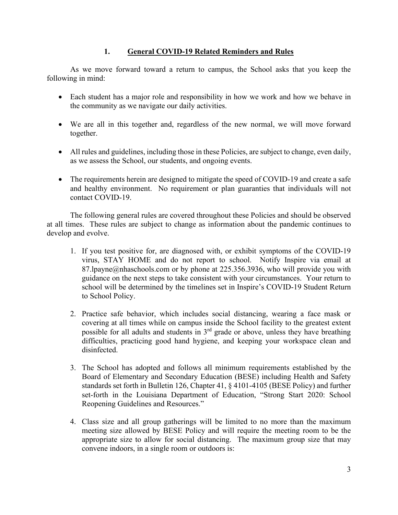# **1. General COVID-19 Related Reminders and Rules**

As we move forward toward a return to campus, the School asks that you keep the following in mind:

- Each student has a major role and responsibility in how we work and how we behave in the community as we navigate our daily activities.
- We are all in this together and, regardless of the new normal, we will move forward together.
- All rules and guidelines, including those in these Policies, are subject to change, even daily, as we assess the School, our students, and ongoing events.
- The requirements herein are designed to mitigate the speed of COVID-19 and create a safe and healthy environment. No requirement or plan guaranties that individuals will not contact COVID-19.

The following general rules are covered throughout these Policies and should be observed at all times. These rules are subject to change as information about the pandemic continues to develop and evolve.

- 1. If you test positive for, are diagnosed with, or exhibit symptoms of the COVID-19 virus, STAY HOME and do not report to school. Notify Inspire via email at 87.lpayne@nhaschools.com or by phone at 225.356.3936, who will provide you with guidance on the next steps to take consistent with your circumstances. Your return to school will be determined by the timelines set in Inspire's COVID-19 Student Return to School Policy.
- 2. Practice safe behavior, which includes social distancing, wearing a face mask or covering at all times while on campus inside the School facility to the greatest extent possible for all adults and students in  $3<sup>rd</sup>$  grade or above, unless they have breathing difficulties, practicing good hand hygiene, and keeping your workspace clean and disinfected.
- 3. The School has adopted and follows all minimum requirements established by the Board of Elementary and Secondary Education (BESE) including Health and Safety standards set forth in Bulletin 126, Chapter 41, § 4101-4105 (BESE Policy) and further set-forth in the Louisiana Department of Education, "Strong Start 2020: School Reopening Guidelines and Resources."
- 4. Class size and all group gatherings will be limited to no more than the maximum meeting size allowed by BESE Policy and will require the meeting room to be the appropriate size to allow for social distancing. The maximum group size that may convene indoors, in a single room or outdoors is: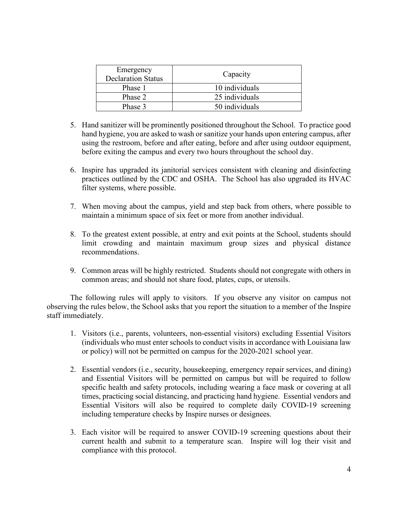| Emergency<br><b>Declaration Status</b> | Capacity       |
|----------------------------------------|----------------|
| Phase 1                                | 10 individuals |
| Phase 2                                | 25 individuals |
| Phase 3                                | 50 individuals |

- 5. Hand sanitizer will be prominently positioned throughout the School. To practice good hand hygiene, you are asked to wash or sanitize your hands upon entering campus, after using the restroom, before and after eating, before and after using outdoor equipment, before exiting the campus and every two hours throughout the school day.
- 6. Inspire has upgraded its janitorial services consistent with cleaning and disinfecting practices outlined by the CDC and OSHA. The School has also upgraded its HVAC filter systems, where possible.
- 7. When moving about the campus, yield and step back from others, where possible to maintain a minimum space of six feet or more from another individual.
- 8. To the greatest extent possible, at entry and exit points at the School, students should limit crowding and maintain maximum group sizes and physical distance recommendations.
- 9. Common areas will be highly restricted. Students should not congregate with others in common areas; and should not share food, plates, cups, or utensils.

The following rules will apply to visitors. If you observe any visitor on campus not observing the rules below, the School asks that you report the situation to a member of the Inspire staff immediately.

- 1. Visitors (i.e., parents, volunteers, non-essential visitors) excluding Essential Visitors (individuals who must enter schools to conduct visits in accordance with Louisiana law or policy) will not be permitted on campus for the 2020-2021 school year.
- 2. Essential vendors (i.e., security, housekeeping, emergency repair services, and dining) and Essential Visitors will be permitted on campus but will be required to follow specific health and safety protocols, including wearing a face mask or covering at all times, practicing social distancing, and practicing hand hygiene. Essential vendors and Essential Visitors will also be required to complete daily COVID-19 screening including temperature checks by Inspire nurses or designees.
- 3. Each visitor will be required to answer COVID-19 screening questions about their current health and submit to a temperature scan. Inspire will log their visit and compliance with this protocol.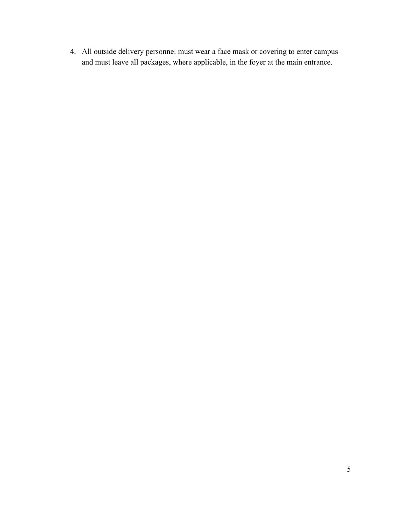4. All outside delivery personnel must wear a face mask or covering to enter campus and must leave all packages, where applicable, in the foyer at the main entrance.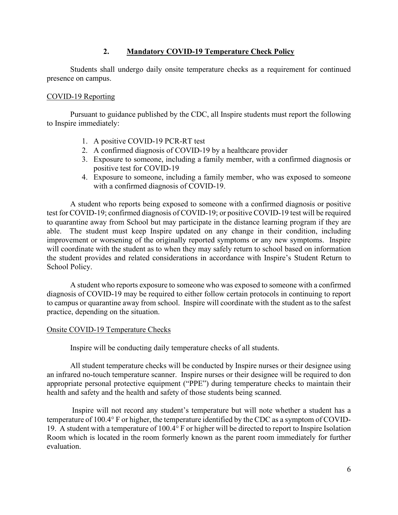## **2. Mandatory COVID-19 Temperature Check Policy**

Students shall undergo daily onsite temperature checks as a requirement for continued presence on campus.

#### COVID-19 Reporting

Pursuant to guidance published by the CDC, all Inspire students must report the following to Inspire immediately:

- 1. A positive COVID-19 PCR-RT test
- 2. A confirmed diagnosis of COVID-19 by a healthcare provider
- 3. Exposure to someone, including a family member, with a confirmed diagnosis or positive test for COVID-19
- 4. Exposure to someone, including a family member, who was exposed to someone with a confirmed diagnosis of COVID-19.

A student who reports being exposed to someone with a confirmed diagnosis or positive test for COVID-19; confirmed diagnosis of COVID-19; or positive COVID-19 test will be required to quarantine away from School but may participate in the distance learning program if they are able. The student must keep Inspire updated on any change in their condition, including improvement or worsening of the originally reported symptoms or any new symptoms. Inspire will coordinate with the student as to when they may safely return to school based on information the student provides and related considerations in accordance with Inspire's Student Return to School Policy.

A student who reports exposure to someone who was exposed to someone with a confirmed diagnosis of COVID-19 may be required to either follow certain protocols in continuing to report to campus or quarantine away from school. Inspire will coordinate with the student as to the safest practice, depending on the situation.

#### Onsite COVID-19 Temperature Checks

Inspire will be conducting daily temperature checks of all students.

All student temperature checks will be conducted by Inspire nurses or their designee using an infrared no-touch temperature scanner. Inspire nurses or their designee will be required to don appropriate personal protective equipment ("PPE") during temperature checks to maintain their health and safety and the health and safety of those students being scanned.

Inspire will not record any student's temperature but will note whether a student has a temperature of 100.4° F or higher, the temperature identified by the CDC as a symptom of COVID-19. A student with a temperature of 100.4° F or higher will be directed to report to Inspire Isolation Room which is located in the room formerly known as the parent room immediately for further evaluation.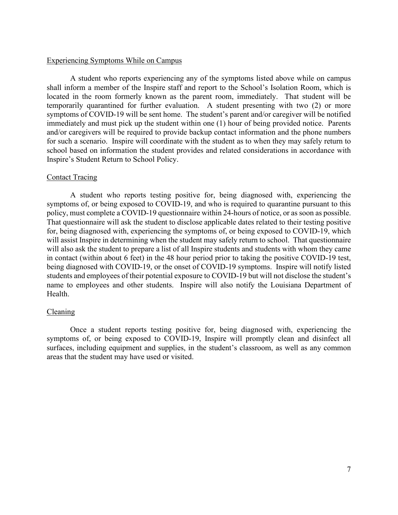#### Experiencing Symptoms While on Campus

A student who reports experiencing any of the symptoms listed above while on campus shall inform a member of the Inspire staff and report to the School's Isolation Room, which is located in the room formerly known as the parent room, immediately. That student will be temporarily quarantined for further evaluation. A student presenting with two (2) or more symptoms of COVID-19 will be sent home. The student's parent and/or caregiver will be notified immediately and must pick up the student within one (1) hour of being provided notice. Parents and/or caregivers will be required to provide backup contact information and the phone numbers for such a scenario. Inspire will coordinate with the student as to when they may safely return to school based on information the student provides and related considerations in accordance with Inspire's Student Return to School Policy.

#### Contact Tracing

A student who reports testing positive for, being diagnosed with, experiencing the symptoms of, or being exposed to COVID-19, and who is required to quarantine pursuant to this policy, must complete a COVID-19 questionnaire within 24-hours of notice, or as soon as possible. That questionnaire will ask the student to disclose applicable dates related to their testing positive for, being diagnosed with, experiencing the symptoms of, or being exposed to COVID-19, which will assist Inspire in determining when the student may safely return to school. That questionnaire will also ask the student to prepare a list of all Inspire students and students with whom they came in contact (within about 6 feet) in the 48 hour period prior to taking the positive COVID-19 test, being diagnosed with COVID-19, or the onset of COVID-19 symptoms. Inspire will notify listed students and employees of their potential exposure to COVID-19 but will not disclose the student's name to employees and other students. Inspire will also notify the Louisiana Department of Health.

#### Cleaning

Once a student reports testing positive for, being diagnosed with, experiencing the symptoms of, or being exposed to COVID-19, Inspire will promptly clean and disinfect all surfaces, including equipment and supplies, in the student's classroom, as well as any common areas that the student may have used or visited.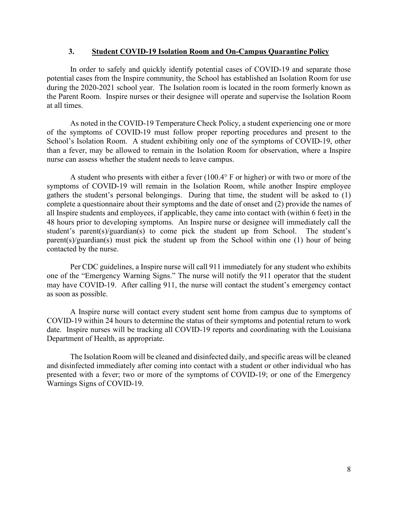#### **3. Student COVID-19 Isolation Room and On-Campus Quarantine Policy**

In order to safely and quickly identify potential cases of COVID-19 and separate those potential cases from the Inspire community, the School has established an Isolation Room for use during the 2020-2021 school year. The Isolation room is located in the room formerly known as the Parent Room. Inspire nurses or their designee will operate and supervise the Isolation Room at all times.

As noted in the COVID-19 Temperature Check Policy, a student experiencing one or more of the symptoms of COVID-19 must follow proper reporting procedures and present to the School's Isolation Room. A student exhibiting only one of the symptoms of COVID-19, other than a fever, may be allowed to remain in the Isolation Room for observation, where a Inspire nurse can assess whether the student needs to leave campus.

A student who presents with either a fever (100.4° F or higher) or with two or more of the symptoms of COVID-19 will remain in the Isolation Room, while another Inspire employee gathers the student's personal belongings. During that time, the student will be asked to (1) complete a questionnaire about their symptoms and the date of onset and (2) provide the names of all Inspire students and employees, if applicable, they came into contact with (within 6 feet) in the 48 hours prior to developing symptoms. An Inspire nurse or designee will immediately call the student's parent(s)/guardian(s) to come pick the student up from School. The student's parent(s)/guardian(s) must pick the student up from the School within one (1) hour of being contacted by the nurse.

Per CDC guidelines, a Inspire nurse will call 911 immediately for any student who exhibits one of the "Emergency Warning Signs." The nurse will notify the 911 operator that the student may have COVID-19. After calling 911, the nurse will contact the student's emergency contact as soon as possible.

A Inspire nurse will contact every student sent home from campus due to symptoms of COVID-19 within 24 hours to determine the status of their symptoms and potential return to work date. Inspire nurses will be tracking all COVID-19 reports and coordinating with the Louisiana Department of Health, as appropriate.

The Isolation Room will be cleaned and disinfected daily, and specific areas will be cleaned and disinfected immediately after coming into contact with a student or other individual who has presented with a fever; two or more of the symptoms of COVID-19; or one of the Emergency Warnings Signs of COVID-19.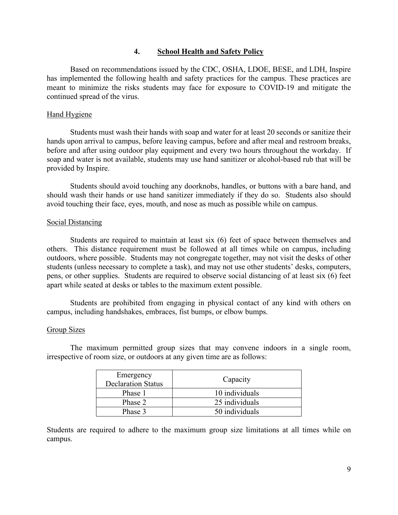#### **4. School Health and Safety Policy**

Based on recommendations issued by the CDC, OSHA, LDOE, BESE, and LDH, Inspire has implemented the following health and safety practices for the campus. These practices are meant to minimize the risks students may face for exposure to COVID-19 and mitigate the continued spread of the virus.

#### Hand Hygiene

Students must wash their hands with soap and water for at least 20 seconds or sanitize their hands upon arrival to campus, before leaving campus, before and after meal and restroom breaks, before and after using outdoor play equipment and every two hours throughout the workday. If soap and water is not available, students may use hand sanitizer or alcohol-based rub that will be provided by Inspire.

Students should avoid touching any doorknobs, handles, or buttons with a bare hand, and should wash their hands or use hand sanitizer immediately if they do so. Students also should avoid touching their face, eyes, mouth, and nose as much as possible while on campus.

## Social Distancing

Students are required to maintain at least six (6) feet of space between themselves and others. This distance requirement must be followed at all times while on campus, including outdoors, where possible. Students may not congregate together, may not visit the desks of other students (unless necessary to complete a task), and may not use other students' desks, computers, pens, or other supplies. Students are required to observe social distancing of at least six (6) feet apart while seated at desks or tables to the maximum extent possible.

Students are prohibited from engaging in physical contact of any kind with others on campus, including handshakes, embraces, fist bumps, or elbow bumps.

#### Group Sizes

The maximum permitted group sizes that may convene indoors in a single room, irrespective of room size, or outdoors at any given time are as follows:

| Emergency<br><b>Declaration Status</b> | Capacity       |
|----------------------------------------|----------------|
| Phase 1                                | 10 individuals |
| Phase 2                                | 25 individuals |
| Phase 3                                | 50 individuals |

Students are required to adhere to the maximum group size limitations at all times while on campus.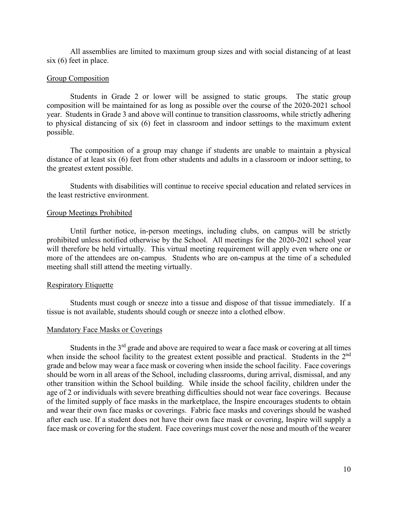All assemblies are limited to maximum group sizes and with social distancing of at least six (6) feet in place.

#### Group Composition

Students in Grade 2 or lower will be assigned to static groups. The static group composition will be maintained for as long as possible over the course of the 2020-2021 school year. Students in Grade 3 and above will continue to transition classrooms, while strictly adhering to physical distancing of six (6) feet in classroom and indoor settings to the maximum extent possible.

The composition of a group may change if students are unable to maintain a physical distance of at least six (6) feet from other students and adults in a classroom or indoor setting, to the greatest extent possible.

Students with disabilities will continue to receive special education and related services in the least restrictive environment.

#### Group Meetings Prohibited

Until further notice, in-person meetings, including clubs, on campus will be strictly prohibited unless notified otherwise by the School. All meetings for the 2020-2021 school year will therefore be held virtually. This virtual meeting requirement will apply even where one or more of the attendees are on-campus. Students who are on-campus at the time of a scheduled meeting shall still attend the meeting virtually.

#### Respiratory Etiquette

Students must cough or sneeze into a tissue and dispose of that tissue immediately. If a tissue is not available, students should cough or sneeze into a clothed elbow.

#### Mandatory Face Masks or Coverings

Students in the  $3<sup>rd</sup>$  grade and above are required to wear a face mask or covering at all times when inside the school facility to the greatest extent possible and practical. Students in the 2<sup>nd</sup> grade and below may wear a face mask or covering when inside the school facility. Face coverings should be worn in all areas of the School, including classrooms, during arrival, dismissal, and any other transition within the School building. While inside the school facility, children under the age of 2 or individuals with severe breathing difficulties should not wear face coverings. Because of the limited supply of face masks in the marketplace, the Inspire encourages students to obtain and wear their own face masks or coverings. Fabric face masks and coverings should be washed after each use. If a student does not have their own face mask or covering, Inspire will supply a face mask or covering for the student. Face coverings must cover the nose and mouth of the wearer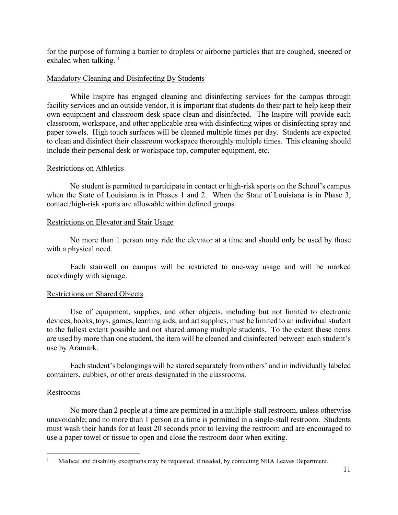for the purpose of forming a barrier to droplets or airborne particles that are coughed, sneezed or exhaled when talking.  $\frac{1}{1}$  $\frac{1}{1}$  $\frac{1}{1}$ 

#### Mandatory Cleaning and Disinfecting By Students

While Inspire has engaged cleaning and disinfecting services for the campus through facility services and an outside vendor, it is important that students do their part to help keep their own equipment and classroom desk space clean and disinfected. The Inspire will provide each classroom, workspace, and other applicable area with disinfecting wipes or disinfecting spray and paper towels. High touch surfaces will be cleaned multiple times per day. Students are expected to clean and disinfect their classroom workspace thoroughly multiple times. This cleaning should include their personal desk or workspace top, computer equipment, etc.

## Restrictions on Athletics

No student is permitted to participate in contact or high-risk sports on the School's campus when the State of Louisiana is in Phases 1 and 2. When the State of Louisiana is in Phase 3, contact/high-risk sports are allowable within defined groups.

## Restrictions on Elevator and Stair Usage

No more than 1 person may ride the elevator at a time and should only be used by those with a physical need.

Each stairwell on campus will be restricted to one-way usage and will be marked accordingly with signage.

#### Restrictions on Shared Objects

Use of equipment, supplies, and other objects, including but not limited to electronic devices, books, toys, games, learning aids, and art supplies, must be limited to an individual student to the fullest extent possible and not shared among multiple students. To the extent these items are used by more than one student, the item will be cleaned and disinfected between each student's use by Aramark.

Each student's belongings will be stored separately from others' and in individually labeled containers, cubbies, or other areas designated in the classrooms.

# Restrooms

No more than 2 people at a time are permitted in a multiple-stall restroom, unless otherwise unavoidable; and no more than 1 person at a time is permitted in a single-stall restroom. Students must wash their hands for at least 20 seconds prior to leaving the restroom and are encouraged to use a paper towel or tissue to open and close the restroom door when exiting.

<span id="page-10-0"></span><sup>&</sup>lt;sup>1</sup> Medical and disability exceptions may be requested, if needed, by contacting NHA Leaves Department.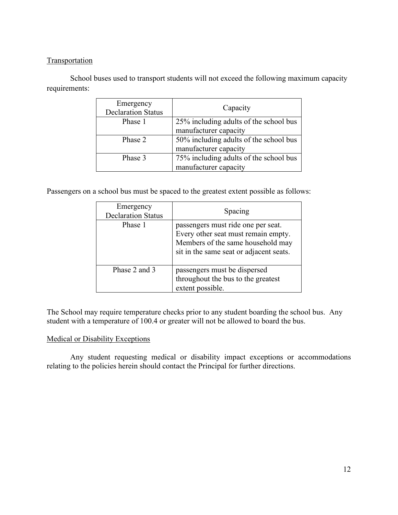# **Transportation**

School buses used to transport students will not exceed the following maximum capacity requirements:

| Emergency<br><b>Declaration Status</b> | Capacity                               |
|----------------------------------------|----------------------------------------|
| Phase 1                                | 25% including adults of the school bus |
|                                        | manufacturer capacity                  |
| Phase 2                                | 50% including adults of the school bus |
|                                        | manufacturer capacity                  |
| Phase 3                                | 75% including adults of the school bus |
|                                        | manufacturer capacity                  |

Passengers on a school bus must be spaced to the greatest extent possible as follows:

| Emergency<br><b>Declaration Status</b> | Spacing                                                                                                                                                   |
|----------------------------------------|-----------------------------------------------------------------------------------------------------------------------------------------------------------|
| Phase 1                                | passengers must ride one per seat.<br>Every other seat must remain empty.<br>Members of the same household may<br>sit in the same seat or adjacent seats. |
| Phase 2 and 3                          | passengers must be dispersed<br>throughout the bus to the greatest<br>extent possible.                                                                    |

The School may require temperature checks prior to any student boarding the school bus. Any student with a temperature of 100.4 or greater will not be allowed to board the bus.

# Medical or Disability Exceptions

Any student requesting medical or disability impact exceptions or accommodations relating to the policies herein should contact the Principal for further directions.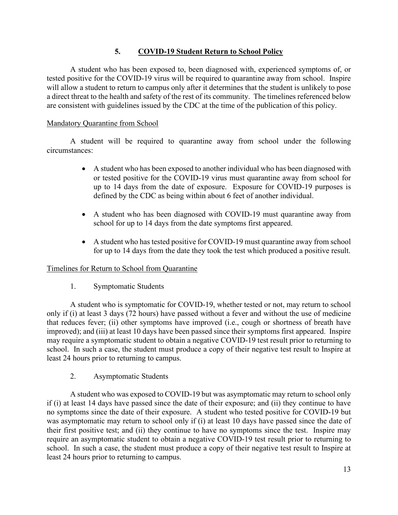# **5. COVID-19 Student Return to School Policy**

A student who has been exposed to, been diagnosed with, experienced symptoms of, or tested positive for the COVID-19 virus will be required to quarantine away from school. Inspire will allow a student to return to campus only after it determines that the student is unlikely to pose a direct threat to the health and safety of the rest of its community. The timelines referenced below are consistent with guidelines issued by the CDC at the time of the publication of this policy.

#### Mandatory Quarantine from School

A student will be required to quarantine away from school under the following circumstances:

- A student who has been exposed to another individual who has been diagnosed with or tested positive for the COVID-19 virus must quarantine away from school for up to 14 days from the date of exposure. Exposure for COVID-19 purposes is defined by the CDC as being within about 6 feet of another individual.
- A student who has been diagnosed with COVID-19 must quarantine away from school for up to 14 days from the date symptoms first appeared.
- A student who has tested positive for COVID-19 must quarantine away from school for up to 14 days from the date they took the test which produced a positive result.

#### Timelines for Return to School from Quarantine

1. Symptomatic Students

A student who is symptomatic for COVID-19, whether tested or not, may return to school only if (i) at least 3 days (72 hours) have passed without a fever and without the use of medicine that reduces fever; (ii) other symptoms have improved (i.e., cough or shortness of breath have improved); and (iii) at least 10 days have been passed since their symptoms first appeared. Inspire may require a symptomatic student to obtain a negative COVID-19 test result prior to returning to school. In such a case, the student must produce a copy of their negative test result to Inspire at least 24 hours prior to returning to campus.

2. Asymptomatic Students

A student who was exposed to COVID-19 but was asymptomatic may return to school only if (i) at least 14 days have passed since the date of their exposure; and (ii) they continue to have no symptoms since the date of their exposure. A student who tested positive for COVID-19 but was asymptomatic may return to school only if (i) at least 10 days have passed since the date of their first positive test; and (ii) they continue to have no symptoms since the test. Inspire may require an asymptomatic student to obtain a negative COVID-19 test result prior to returning to school. In such a case, the student must produce a copy of their negative test result to Inspire at least 24 hours prior to returning to campus.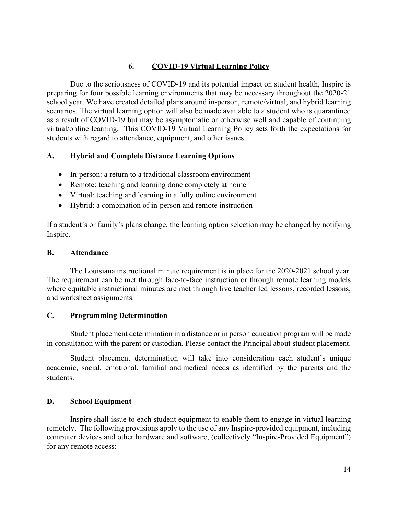# **6. COVID-19 Virtual Learning Policy**

Due to the seriousness of COVID-19 and its potential impact on student health, Inspire is preparing for four possible learning environments that may be necessary throughout the 2020-21 school year. We have created detailed plans around in-person, remote/virtual, and hybrid learning scenarios. The virtual learning option will also be made available to a student who is quarantined as a result of COVID-19 but may be asymptomatic or otherwise well and capable of continuing virtual/online learning. This COVID-19 Virtual Learning Policy sets forth the expectations for students with regard to attendance, equipment, and other issues.

## **A. Hybrid and Complete Distance Learning Options**

- In-person: a return to a traditional classroom environment
- Remote: teaching and learning done completely at home
- Virtual: teaching and learning in a fully online environment
- Hybrid: a combination of in-person and remote instruction

If a student's or family's plans change, the learning option selection may be changed by notifying Inspire.

#### **B. Attendance**

The Louisiana instructional minute requirement is in place for the 2020-2021 school year. The requirement can be met through face-to-face instruction or through remote learning models where equitable instructional minutes are met through live teacher led lessons, recorded lessons, and worksheet assignments.

#### **C. Programming Determination**

Student placement determination in a distance or in person education program will be made in consultation with the parent or custodian. Please contact the Principal about student placement.

Student placement determination will take into consideration each student's unique academic, social, emotional, familial and medical needs as identified by the parents and the students.

#### **D. School Equipment**

Inspire shall issue to each student equipment to enable them to engage in virtual learning remotely. The following provisions apply to the use of any Inspire-provided equipment, including computer devices and other hardware and software, (collectively "Inspire-Provided Equipment") for any remote access: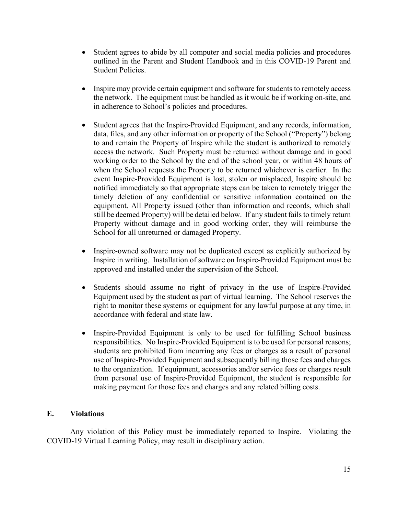- Student agrees to abide by all computer and social media policies and procedures outlined in the Parent and Student Handbook and in this COVID-19 Parent and Student Policies.
- Inspire may provide certain equipment and software for students to remotely access the network. The equipment must be handled as it would be if working on-site, and in adherence to School's policies and procedures.
- Student agrees that the Inspire-Provided Equipment, and any records, information, data, files, and any other information or property of the School ("Property") belong to and remain the Property of Inspire while the student is authorized to remotely access the network. Such Property must be returned without damage and in good working order to the School by the end of the school year, or within 48 hours of when the School requests the Property to be returned whichever is earlier. In the event Inspire-Provided Equipment is lost, stolen or misplaced, Inspire should be notified immediately so that appropriate steps can be taken to remotely trigger the timely deletion of any confidential or sensitive information contained on the equipment. All Property issued (other than information and records, which shall still be deemed Property) will be detailed below. If any student fails to timely return Property without damage and in good working order, they will reimburse the School for all unreturned or damaged Property.
- Inspire-owned software may not be duplicated except as explicitly authorized by Inspire in writing. Installation of software on Inspire-Provided Equipment must be approved and installed under the supervision of the School.
- Students should assume no right of privacy in the use of Inspire-Provided Equipment used by the student as part of virtual learning. The School reserves the right to monitor these systems or equipment for any lawful purpose at any time, in accordance with federal and state law.
- Inspire-Provided Equipment is only to be used for fulfilling School business responsibilities. No Inspire-Provided Equipment is to be used for personal reasons; students are prohibited from incurring any fees or charges as a result of personal use of Inspire-Provided Equipment and subsequently billing those fees and charges to the organization. If equipment, accessories and/or service fees or charges result from personal use of Inspire-Provided Equipment, the student is responsible for making payment for those fees and charges and any related billing costs.

#### **E. Violations**

Any violation of this Policy must be immediately reported to Inspire. Violating the COVID-19 Virtual Learning Policy, may result in disciplinary action.